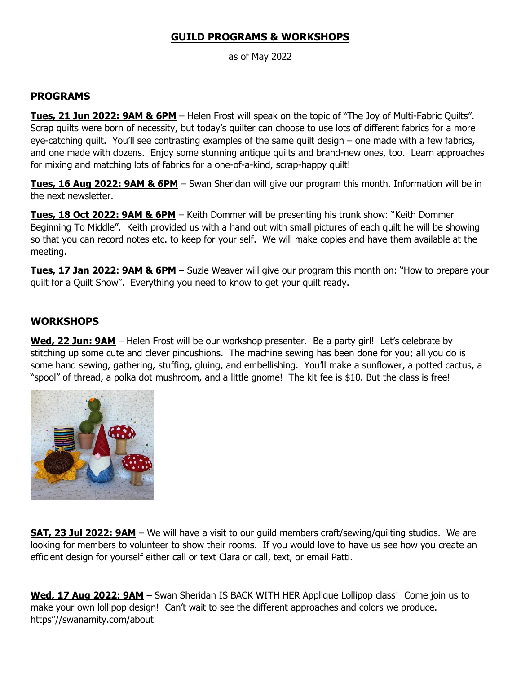## **GUILD PROGRAMS & WORKSHOPS**

as of May 2022

## **PROGRAMS**

**Tues, 21 Jun 2022: 9AM & 6PM** – Helen Frost will speak on the topic of "The Joy of Multi-Fabric Quilts". Scrap quilts were born of necessity, but today's quilter can choose to use lots of different fabrics for a more eye-catching quilt. You'll see contrasting examples of the same quilt design – one made with a few fabrics, and one made with dozens. Enjoy some stunning antique quilts and brand-new ones, too. Learn approaches for mixing and matching lots of fabrics for a one-of-a-kind, scrap-happy quilt!

**Tues, 16 Aug 2022: 9AM & 6PM** – Swan Sheridan will give our program this month. Information will be in the next newsletter.

**Tues, 18 Oct 2022: 9AM & 6PM** – Keith Dommer will be presenting his trunk show: "Keith Dommer Beginning To Middle". Keith provided us with a hand out with small pictures of each quilt he will be showing so that you can record notes etc. to keep for your self. We will make copies and have them available at the meeting.

**Tues, 17 Jan 2022: 9AM & 6PM** – Suzie Weaver will give our program this month on: "How to prepare your quilt for a Quilt Show". Everything you need to know to get your quilt ready.

## **WORKSHOPS**

Wed, 22 Jun: 9AM - Helen Frost will be our workshop presenter. Be a party girl! Let's celebrate by stitching up some cute and clever pincushions. The machine sewing has been done for you; all you do is some hand sewing, gathering, stuffing, gluing, and embellishing. You'll make a sunflower, a potted cactus, a "spool" of thread, a polka dot mushroom, and a little gnome! The kit fee is \$10. But the class is free!



**SAT, 23 Jul 2022: 9AM** – We will have a visit to our guild members craft/sewing/quilting studios. We are looking for members to volunteer to show their rooms. If you would love to have us see how you create an efficient design for yourself either call or text Clara or call, text, or email Patti.

**Wed, 17 Aug 2022: 9AM** – Swan Sheridan IS BACK WITH HER Applique Lollipop class! Come join us to make your own lollipop design! Can't wait to see the different approaches and colors we produce. https"//swanamity.com/about